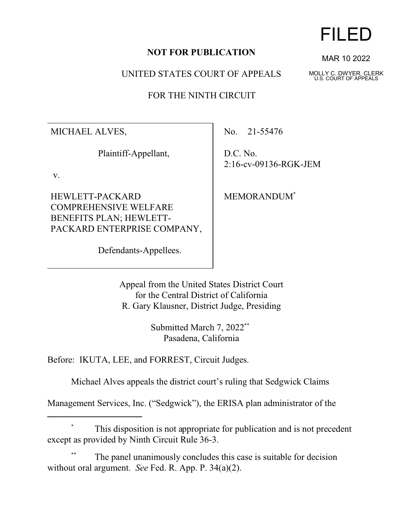## **NOT FOR PUBLICATION**

UNITED STATES COURT OF APPEALS

FOR THE NINTH CIRCUIT

MICHAEL ALVES,

Plaintiff-Appellant,

v.

HEWLETT-PACKARD COMPREHENSIVE WELFARE BENEFITS PLAN; HEWLETT-PACKARD ENTERPRISE COMPANY,

Defendants-Appellees.

No. 21-55476

D.C. No. 2:16-cv-09136-RGK-JEM

MEMORANDUM\*

Appeal from the United States District Court for the Central District of California R. Gary Klausner, District Judge, Presiding

> Submitted March 7, 2022\*\* Pasadena, California

Before: IKUTA, LEE, and FORREST, Circuit Judges.

Michael Alves appeals the district court's ruling that Sedgwick Claims

Management Services, Inc. ("Sedgwick"), the ERISA plan administrator of the

## This disposition is not appropriate for publication and is not precedent except as provided by Ninth Circuit Rule 36-3.

The panel unanimously concludes this case is suitable for decision without oral argument. *See* Fed. R. App. P. 34(a)(2).

## FILED

MAR 10 2022

MOLLY C. DWYER, CLERK U.S. COURT OF APPEALS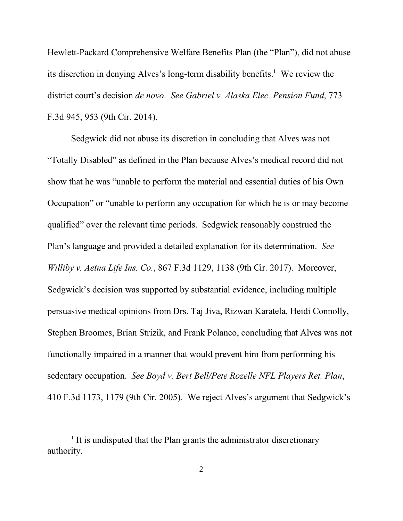Hewlett-Packard Comprehensive Welfare Benefits Plan (the "Plan"), did not abuse its discretion in denying Alves's long-term disability benefits.<sup>1</sup> We review the district court's decision *de novo*. *See Gabriel v. Alaska Elec. Pension Fund*, 773 F.3d 945, 953 (9th Cir. 2014).

Sedgwick did not abuse its discretion in concluding that Alves was not "Totally Disabled" as defined in the Plan because Alves's medical record did not show that he was "unable to perform the material and essential duties of his Own Occupation" or "unable to perform any occupation for which he is or may become qualified" over the relevant time periods. Sedgwick reasonably construed the Plan's language and provided a detailed explanation for its determination. *See Williby v. Aetna Life Ins. Co.*, 867 F.3d 1129, 1138 (9th Cir. 2017). Moreover, Sedgwick's decision was supported by substantial evidence, including multiple persuasive medical opinions from Drs. Taj Jiva, Rizwan Karatela, Heidi Connolly, Stephen Broomes, Brian Strizik, and Frank Polanco, concluding that Alves was not functionally impaired in a manner that would prevent him from performing his sedentary occupation. *See Boyd v. Bert Bell/Pete Rozelle NFL Players Ret. Plan*, 410 F.3d 1173, 1179 (9th Cir. 2005). We reject Alves's argument that Sedgwick's

<sup>&</sup>lt;sup>1</sup> It is undisputed that the Plan grants the administrator discretionary authority.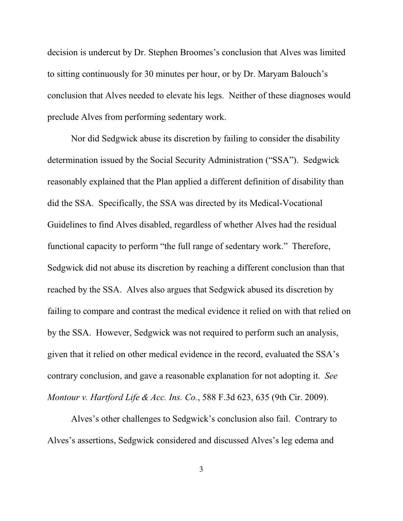decision is undercut by Dr. Stephen Broomes's conclusion that Alves was limited to sitting continuously for 30 minutes per hour, or by Dr. Maryam Balouch's conclusion that Alves needed to elevate his legs. Neither of these diagnoses would preclude Alves from performing sedentary work.

Nor did Sedgwick abuse its discretion by failing to consider the disability determination issued by the Social Security Administration ("SSA"). Sedgwick reasonably explained that the Plan applied a different definition of disability than did the SSA. Specifically, the SSA was directed by its Medical-Vocational Guidelines to find Alves disabled, regardless of whether Alves had the residual functional capacity to perform "the full range of sedentary work."Therefore, Sedgwick did not abuse its discretion by reaching a different conclusion than that reached by the SSA. Alves also argues that Sedgwick abused its discretion by failing to compare and contrast the medical evidence it relied on with that relied on by the SSA. However, Sedgwick was not required to perform such an analysis, given that it relied on other medical evidence in the record, evaluated the SSA's contrary conclusion, and gave a reasonable explanation for not adopting it. *See Montour v. Hartford Life & Acc. Ins. Co.*, 588 F.3d 623, 635 (9th Cir. 2009).

Alves's other challenges to Sedgwick's conclusion also fail. Contrary to Alves's assertions, Sedgwick considered and discussed Alves's leg edema and